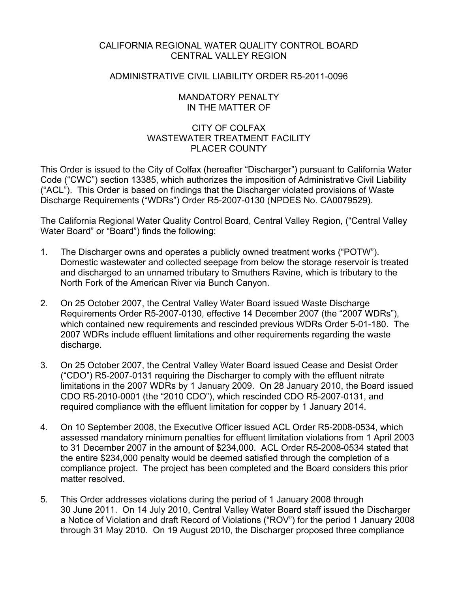## CALIFORNIA REGIONAL WATER QUALITY CONTROL BOARD CENTRAL VALLEY REGION

### ADMINISTRATIVE CIVIL LIABILITY ORDER R5-2011-0096

### MANDATORY PENALTY IN THE MATTER OF

## CITY OF COLFAX WASTEWATER TREATMENT FACILITY PLACER COUNTY

This Order is issued to the City of Colfax (hereafter "Discharger") pursuant to California Water Code ("CWC") section 13385, which authorizes the imposition of Administrative Civil Liability ("ACL"). This Order is based on findings that the Discharger violated provisions of Waste Discharge Requirements ("WDRs") Order R5-2007-0130 (NPDES No. CA0079529).

The California Regional Water Quality Control Board, Central Valley Region, ("Central Valley Water Board" or "Board") finds the following:

- 1. The Discharger owns and operates a publicly owned treatment works ("POTW"). Domestic wastewater and collected seepage from below the storage reservoir is treated and discharged to an unnamed tributary to Smuthers Ravine, which is tributary to the North Fork of the American River via Bunch Canyon.
- 2. On 25 October 2007, the Central Valley Water Board issued Waste Discharge Requirements Order R5-2007-0130, effective 14 December 2007 (the "2007 WDRs"), which contained new requirements and rescinded previous WDRs Order 5-01-180. The 2007 WDRs include effluent limitations and other requirements regarding the waste discharge.
- 3. On 25 October 2007, the Central Valley Water Board issued Cease and Desist Order ("CDO") R5-2007-0131 requiring the Discharger to comply with the effluent nitrate limitations in the 2007 WDRs by 1 January 2009. On 28 January 2010, the Board issued CDO R5-2010-0001 (the "2010 CDO"), which rescinded CDO R5-2007-0131, and required compliance with the effluent limitation for copper by 1 January 2014.
- 4. On 10 September 2008, the Executive Officer issued ACL Order R5-2008-0534, which assessed mandatory minimum penalties for effluent limitation violations from 1 April 2003 to 31 December 2007 in the amount of \$234,000. ACL Order R5-2008-0534 stated that the entire \$234,000 penalty would be deemed satisfied through the completion of a compliance project. The project has been completed and the Board considers this prior matter resolved.
- 5. This Order addresses violations during the period of 1 January 2008 through 30 June 2011. On 14 July 2010, Central Valley Water Board staff issued the Discharger a Notice of Violation and draft Record of Violations ("ROV") for the period 1 January 2008 through 31 May 2010. On 19 August 2010, the Discharger proposed three compliance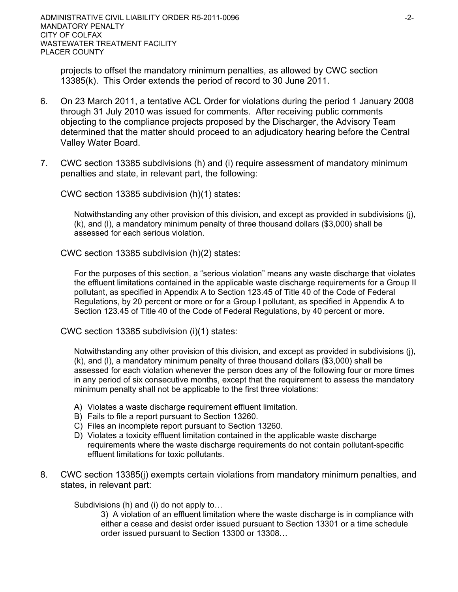projects to offset the mandatory minimum penalties, as allowed by CWC section 13385(k). This Order extends the period of record to 30 June 2011.

- 6. On 23 March 2011, a tentative ACL Order for violations during the period 1 January 2008 through 31 July 2010 was issued for comments. After receiving public comments objecting to the compliance projects proposed by the Discharger, the Advisory Team determined that the matter should proceed to an adjudicatory hearing before the Central Valley Water Board.
- 7. CWC section 13385 subdivisions (h) and (i) require assessment of mandatory minimum penalties and state, in relevant part, the following:

CWC section 13385 subdivision (h)(1) states:

Notwithstanding any other provision of this division, and except as provided in subdivisions (j), (k), and (l), a mandatory minimum penalty of three thousand dollars (\$3,000) shall be assessed for each serious violation.

CWC section 13385 subdivision (h)(2) states:

For the purposes of this section, a "serious violation" means any waste discharge that violates the effluent limitations contained in the applicable waste discharge requirements for a Group II pollutant, as specified in Appendix A to Section 123.45 of Title 40 of the Code of Federal Regulations, by 20 percent or more or for a Group I pollutant, as specified in Appendix A to Section 123.45 of Title 40 of the Code of Federal Regulations, by 40 percent or more.

CWC section 13385 subdivision (i)(1) states:

Notwithstanding any other provision of this division, and except as provided in subdivisions (j), (k), and (l), a mandatory minimum penalty of three thousand dollars (\$3,000) shall be assessed for each violation whenever the person does any of the following four or more times in any period of six consecutive months, except that the requirement to assess the mandatory minimum penalty shall not be applicable to the first three violations:

- A) Violates a waste discharge requirement effluent limitation.
- B) Fails to file a report pursuant to Section 13260.
- C) Files an incomplete report pursuant to Section 13260.
- D) Violates a toxicity effluent limitation contained in the applicable waste discharge requirements where the waste discharge requirements do not contain pollutant-specific effluent limitations for toxic pollutants.
- 8. CWC section 13385(j) exempts certain violations from mandatory minimum penalties, and states, in relevant part:

Subdivisions (h) and (i) do not apply to…

3) A violation of an effluent limitation where the waste discharge is in compliance with either a cease and desist order issued pursuant to Section 13301 or a time schedule order issued pursuant to Section 13300 or 13308…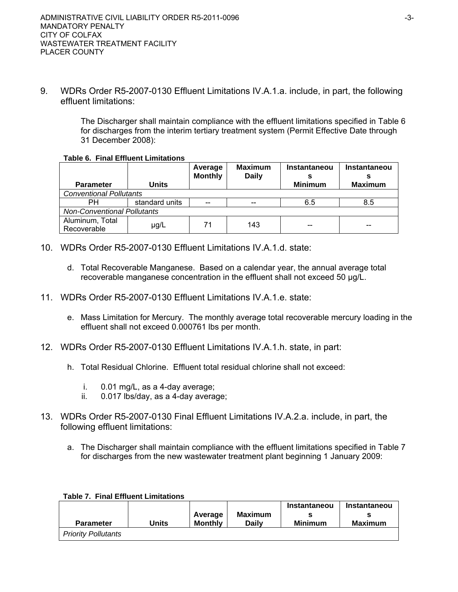9. WDRs Order R5-2007-0130 Effluent Limitations IV.A.1.a. include, in part, the following effluent limitations:

> The Discharger shall maintain compliance with the effluent limitations specified in Table 6 for discharges from the interim tertiary treatment system (Permit Effective Date through 31 December 2008):

### **Table 6. Final Effluent Limitations**

|                                    |                | Average<br><b>Monthly</b> | <b>Maximum</b><br><b>Daily</b> | Instantaneou   | Instantaneou   |
|------------------------------------|----------------|---------------------------|--------------------------------|----------------|----------------|
| <b>Parameter</b>                   | Units          |                           |                                | <b>Minimum</b> | <b>Maximum</b> |
| <b>Conventional Pollutants</b>     |                |                           |                                |                |                |
| PН                                 | standard units | $-$                       | $-$                            | 6.5            | 8.5            |
| <b>Non-Conventional Pollutants</b> |                |                           |                                |                |                |
| Aluminum, Total<br>Recoverable     | µg/L           | 71                        | 143                            | --             | --             |

- 10. WDRs Order R5-2007-0130 Effluent Limitations IV.A.1.d. state:
	- d. Total Recoverable Manganese. Based on a calendar year, the annual average total recoverable manganese concentration in the effluent shall not exceed 50 μg/L.
- 11. WDRs Order R5-2007-0130 Effluent Limitations IV.A.1.e. state:
	- e. Mass Limitation for Mercury. The monthly average total recoverable mercury loading in the effluent shall not exceed 0.000761 lbs per month.
- 12. WDRs Order R5-2007-0130 Effluent Limitations IV.A.1.h. state, in part:
	- h. Total Residual Chlorine. Effluent total residual chlorine shall not exceed:
		- i. 0.01 mg/L, as a 4-day average;
		- ii. 0.017 lbs/day, as a 4-day average;
- 13. WDRs Order R5-2007-0130 Final Effluent Limitations IV.A.2.a. include, in part, the following effluent limitations:
	- a. The Discharger shall maintain compliance with the effluent limitations specified in Table 7 for discharges from the new wastewater treatment plant beginning 1 January 2009:

| <b>Parameter</b>           | Jnits | Average<br><b>Monthly</b> | Maximum<br>Dailv | Instantaneou<br><b>Minimum</b> | Instantaneou<br>Maximum |
|----------------------------|-------|---------------------------|------------------|--------------------------------|-------------------------|
| <b>Priority Pollutants</b> |       |                           |                  |                                |                         |

#### **Table 7. Final Effluent Limitations**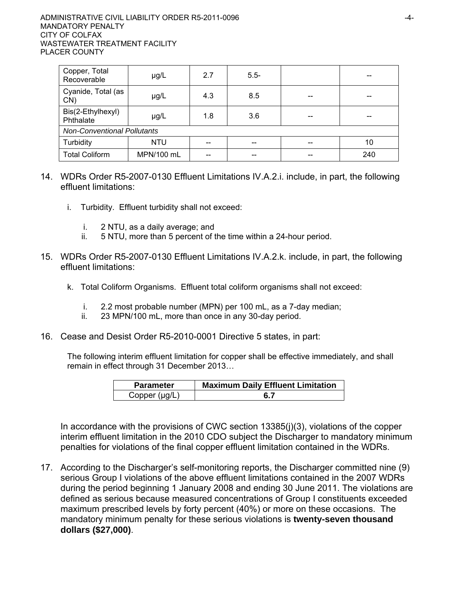| Copper, Total<br>Recoverable       | µg/L        | 2.7                    | $5.5-$ |  |     |  |  |
|------------------------------------|-------------|------------------------|--------|--|-----|--|--|
| Cyanide, Total (as<br>CN)          | 4.3<br>µg/L |                        | 8.5    |  |     |  |  |
| Bis(2-Ethylhexyl)<br>Phthalate     | $\mu$ g/L   | 1.8                    | 3.6    |  |     |  |  |
| <b>Non-Conventional Pollutants</b> |             |                        |        |  |     |  |  |
| Turbidity                          | <b>NTU</b>  | --                     | $- -$  |  | 10  |  |  |
| <b>Total Coliform</b>              | MPN/100 mL  | $\qquad \qquad \cdots$ | $- -$  |  | 240 |  |  |

- 14. WDRs Order R5-2007-0130 Effluent Limitations IV.A.2.i. include, in part, the following effluent limitations:
	- i. Turbidity. Effluent turbidity shall not exceed:
		- i. 2 NTU, as a daily average; and
		- ii. 5 NTU, more than 5 percent of the time within a 24-hour period.
- 15. WDRs Order R5-2007-0130 Effluent Limitations IV.A.2.k. include, in part, the following effluent limitations:
	- k. Total Coliform Organisms. Effluent total coliform organisms shall not exceed:
		- i. 2.2 most probable number (MPN) per 100 mL, as a 7-day median;
		- ii. 23 MPN/100 mL, more than once in any 30-day period.
- 16. Cease and Desist Order R5-2010-0001 Directive 5 states, in part:

The following interim effluent limitation for copper shall be effective immediately, and shall remain in effect through 31 December 2013…

| <b>Parameter</b>   | <b>Maximum Daily Effluent Limitation</b> |  |  |  |
|--------------------|------------------------------------------|--|--|--|
| Copper $(\mu q/L)$ |                                          |  |  |  |

In accordance with the provisions of CWC section 13385(j)(3), violations of the copper interim effluent limitation in the 2010 CDO subject the Discharger to mandatory minimum penalties for violations of the final copper effluent limitation contained in the WDRs.

17. According to the Discharger's self-monitoring reports, the Discharger committed nine (9) serious Group I violations of the above effluent limitations contained in the 2007 WDRs during the period beginning 1 January 2008 and ending 30 June 2011. The violations are defined as serious because measured concentrations of Group I constituents exceeded maximum prescribed levels by forty percent (40%) or more on these occasions. The mandatory minimum penalty for these serious violations is **twenty-seven thousand dollars (\$27,000)**.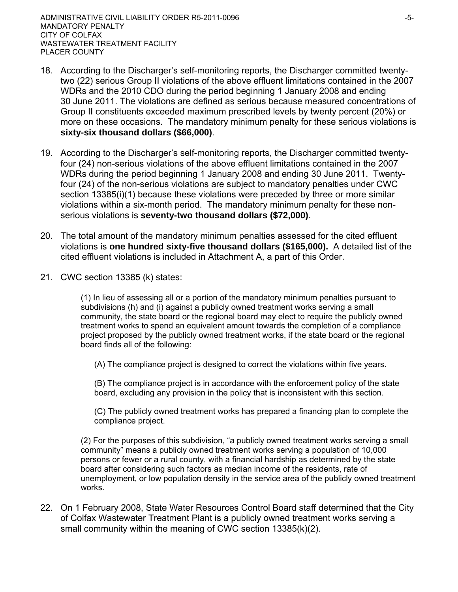- 18. According to the Discharger's self-monitoring reports, the Discharger committed twentytwo (22) serious Group II violations of the above effluent limitations contained in the 2007 WDRs and the 2010 CDO during the period beginning 1 January 2008 and ending 30 June 2011. The violations are defined as serious because measured concentrations of Group II constituents exceeded maximum prescribed levels by twenty percent (20%) or more on these occasions. The mandatory minimum penalty for these serious violations is **sixty-six thousand dollars (\$66,000)**.
- 19. According to the Discharger's self-monitoring reports, the Discharger committed twentyfour (24) non-serious violations of the above effluent limitations contained in the 2007 WDRs during the period beginning 1 January 2008 and ending 30 June 2011. Twentyfour (24) of the non-serious violations are subject to mandatory penalties under CWC section 13385(i)(1) because these violations were preceded by three or more similar violations within a six-month period. The mandatory minimum penalty for these nonserious violations is **seventy-two thousand dollars (\$72,000)**.
- 20. The total amount of the mandatory minimum penalties assessed for the cited effluent violations is **one hundred sixty-five thousand dollars (\$165,000).** A detailed list of the cited effluent violations is included in Attachment A, a part of this Order.
- 21. CWC section 13385 (k) states:

(1) In lieu of assessing all or a portion of the mandatory minimum penalties pursuant to subdivisions (h) and (i) against a publicly owned treatment works serving a small community, the state board or the regional board may elect to require the publicly owned treatment works to spend an equivalent amount towards the completion of a compliance project proposed by the publicly owned treatment works, if the state board or the regional board finds all of the following:

(A) The compliance project is designed to correct the violations within five years.

(B) The compliance project is in accordance with the enforcement policy of the state board, excluding any provision in the policy that is inconsistent with this section.

(C) The publicly owned treatment works has prepared a financing plan to complete the compliance project.

(2) For the purposes of this subdivision, "a publicly owned treatment works serving a small community" means a publicly owned treatment works serving a population of 10,000 persons or fewer or a rural county, with a financial hardship as determined by the state board after considering such factors as median income of the residents, rate of unemployment, or low population density in the service area of the publicly owned treatment works.

22. On 1 February 2008, State Water Resources Control Board staff determined that the City of Colfax Wastewater Treatment Plant is a publicly owned treatment works serving a small community within the meaning of CWC section 13385(k)(2).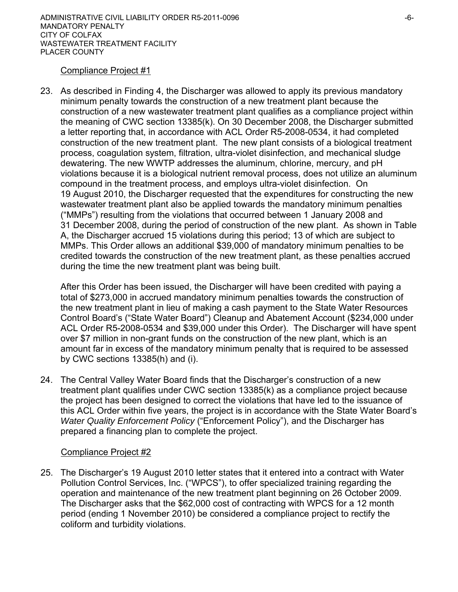## Compliance Project #1

23. As described in Finding 4, the Discharger was allowed to apply its previous mandatory minimum penalty towards the construction of a new treatment plant because the construction of a new wastewater treatment plant qualifies as a compliance project within the meaning of CWC section 13385(k). On 30 December 2008, the Discharger submitted a letter reporting that, in accordance with ACL Order R5-2008-0534, it had completed construction of the new treatment plant. The new plant consists of a biological treatment process, coagulation system, filtration, ultra-violet disinfection, and mechanical sludge dewatering. The new WWTP addresses the aluminum, chlorine, mercury, and pH violations because it is a biological nutrient removal process, does not utilize an aluminum compound in the treatment process, and employs ultra-violet disinfection. On 19 August 2010, the Discharger requested that the expenditures for constructing the new wastewater treatment plant also be applied towards the mandatory minimum penalties ("MMPs") resulting from the violations that occurred between 1 January 2008 and 31 December 2008, during the period of construction of the new plant. As shown in Table A, the Discharger accrued 15 violations during this period; 13 of which are subject to MMPs. This Order allows an additional \$39,000 of mandatory minimum penalties to be credited towards the construction of the new treatment plant, as these penalties accrued during the time the new treatment plant was being built.

After this Order has been issued, the Discharger will have been credited with paying a total of \$273,000 in accrued mandatory minimum penalties towards the construction of the new treatment plant in lieu of making a cash payment to the State Water Resources Control Board's ("State Water Board") Cleanup and Abatement Account (\$234,000 under ACL Order R5-2008-0534 and \$39,000 under this Order). The Discharger will have spent over \$7 million in non-grant funds on the construction of the new plant, which is an amount far in excess of the mandatory minimum penalty that is required to be assessed by CWC sections 13385(h) and (i).

24. The Central Valley Water Board finds that the Discharger's construction of a new treatment plant qualifies under CWC section 13385(k) as a compliance project because the project has been designed to correct the violations that have led to the issuance of this ACL Order within five years, the project is in accordance with the State Water Board's *Water Quality Enforcement Policy* ("Enforcement Policy"), and the Discharger has prepared a financing plan to complete the project.

## Compliance Project #2

25. The Discharger's 19 August 2010 letter states that it entered into a contract with Water Pollution Control Services, Inc. ("WPCS"), to offer specialized training regarding the operation and maintenance of the new treatment plant beginning on 26 October 2009. The Discharger asks that the \$62,000 cost of contracting with WPCS for a 12 month period (ending 1 November 2010) be considered a compliance project to rectify the coliform and turbidity violations.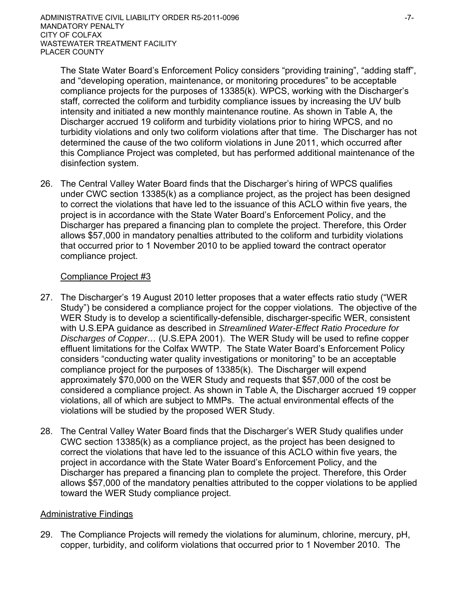The State Water Board's Enforcement Policy considers "providing training", "adding staff", and "developing operation, maintenance, or monitoring procedures" to be acceptable compliance projects for the purposes of 13385(k). WPCS, working with the Discharger's staff, corrected the coliform and turbidity compliance issues by increasing the UV bulb intensity and initiated a new monthly maintenance routine. As shown in Table A, the Discharger accrued 19 coliform and turbidity violations prior to hiring WPCS, and no turbidity violations and only two coliform violations after that time. The Discharger has not determined the cause of the two coliform violations in June 2011, which occurred after this Compliance Project was completed, but has performed additional maintenance of the disinfection system.

26. The Central Valley Water Board finds that the Discharger's hiring of WPCS qualifies under CWC section 13385(k) as a compliance project, as the project has been designed to correct the violations that have led to the issuance of this ACLO within five years, the project is in accordance with the State Water Board's Enforcement Policy, and the Discharger has prepared a financing plan to complete the project. Therefore, this Order allows \$57,000 in mandatory penalties attributed to the coliform and turbidity violations that occurred prior to 1 November 2010 to be applied toward the contract operator compliance project.

## Compliance Project #3

- 27. The Discharger's 19 August 2010 letter proposes that a water effects ratio study ("WER Study") be considered a compliance project for the copper violations. The objective of the WER Study is to develop a scientifically-defensible, discharger-specific WER, consistent with U.S.EPA guidance as described in *Streamlined Water-Effect Ratio Procedure for Discharges of Copper…* (U.S.EPA 2001). The WER Study will be used to refine copper effluent limitations for the Colfax WWTP. The State Water Board's Enforcement Policy considers "conducting water quality investigations or monitoring" to be an acceptable compliance project for the purposes of 13385(k). The Discharger will expend approximately \$70,000 on the WER Study and requests that \$57,000 of the cost be considered a compliance project. As shown in Table A, the Discharger accrued 19 copper violations, all of which are subject to MMPs. The actual environmental effects of the violations will be studied by the proposed WER Study.
- 28. The Central Valley Water Board finds that the Discharger's WER Study qualifies under CWC section 13385(k) as a compliance project, as the project has been designed to correct the violations that have led to the issuance of this ACLO within five years, the project in accordance with the State Water Board's Enforcement Policy, and the Discharger has prepared a financing plan to complete the project. Therefore, this Order allows \$57,000 of the mandatory penalties attributed to the copper violations to be applied toward the WER Study compliance project.

## Administrative Findings

29. The Compliance Projects will remedy the violations for aluminum, chlorine, mercury, pH, copper, turbidity, and coliform violations that occurred prior to 1 November 2010. The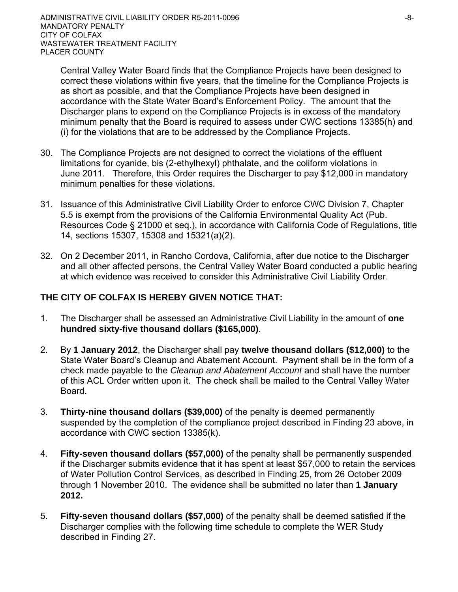Central Valley Water Board finds that the Compliance Projects have been designed to correct these violations within five years, that the timeline for the Compliance Projects is as short as possible, and that the Compliance Projects have been designed in accordance with the State Water Board's Enforcement Policy. The amount that the Discharger plans to expend on the Compliance Projects is in excess of the mandatory minimum penalty that the Board is required to assess under CWC sections 13385(h) and (i) for the violations that are to be addressed by the Compliance Projects.

- 30. The Compliance Projects are not designed to correct the violations of the effluent limitations for cyanide, bis (2-ethylhexyl) phthalate, and the coliform violations in June 2011. Therefore, this Order requires the Discharger to pay \$12,000 in mandatory minimum penalties for these violations.
- 31. Issuance of this Administrative Civil Liability Order to enforce CWC Division 7, Chapter 5.5 is exempt from the provisions of the California Environmental Quality Act (Pub. Resources Code § 21000 et seq.), in accordance with California Code of Regulations, title 14, sections 15307, 15308 and 15321(a)(2).
- 32. On 2 December 2011, in Rancho Cordova, California, after due notice to the Discharger and all other affected persons, the Central Valley Water Board conducted a public hearing at which evidence was received to consider this Administrative Civil Liability Order.

# **THE CITY OF COLFAX IS HEREBY GIVEN NOTICE THAT:**

- 1. The Discharger shall be assessed an Administrative Civil Liability in the amount of **one hundred sixty-five thousand dollars (\$165,000)**.
- 2. By **1 January 2012**, the Discharger shall pay **twelve thousand dollars (\$12,000)** to the State Water Board's Cleanup and Abatement Account. Payment shall be in the form of a check made payable to the *Cleanup and Abatement Account* and shall have the number of this ACL Order written upon it. The check shall be mailed to the Central Valley Water **Board**
- 3. **Thirty-nine thousand dollars (\$39,000)** of the penalty is deemed permanently suspended by the completion of the compliance project described in Finding 23 above, in accordance with CWC section 13385(k).
- 4. **Fifty-seven thousand dollars (\$57,000)** of the penalty shall be permanently suspended if the Discharger submits evidence that it has spent at least \$57,000 to retain the services of Water Pollution Control Services, as described in Finding 25, from 26 October 2009 through 1 November 2010. The evidence shall be submitted no later than **1 January 2012.**
- 5. **Fifty-seven thousand dollars (\$57,000)** of the penalty shall be deemed satisfied if the Discharger complies with the following time schedule to complete the WER Study described in Finding 27.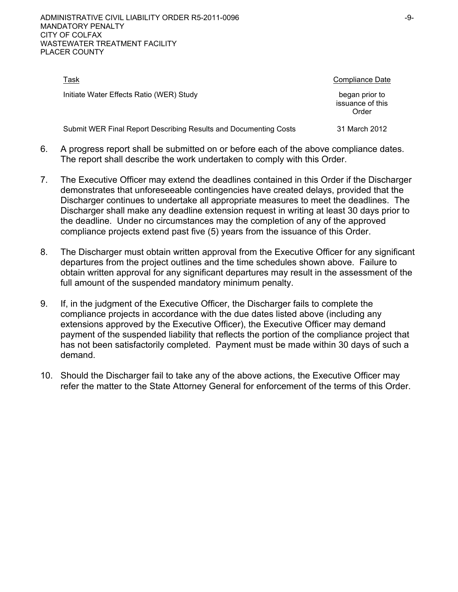| Task                                                             | Compliance Date                             |
|------------------------------------------------------------------|---------------------------------------------|
| Initiate Water Effects Ratio (WER) Study                         | began prior to<br>issuance of this<br>Order |
| Submit WER Final Report Describing Results and Documenting Costs | 31 March 2012                               |

- 6. A progress report shall be submitted on or before each of the above compliance dates. The report shall describe the work undertaken to comply with this Order.
- 7. The Executive Officer may extend the deadlines contained in this Order if the Discharger demonstrates that unforeseeable contingencies have created delays, provided that the Discharger continues to undertake all appropriate measures to meet the deadlines. The Discharger shall make any deadline extension request in writing at least 30 days prior to the deadline. Under no circumstances may the completion of any of the approved compliance projects extend past five (5) years from the issuance of this Order.
- 8. The Discharger must obtain written approval from the Executive Officer for any significant departures from the project outlines and the time schedules shown above. Failure to obtain written approval for any significant departures may result in the assessment of the full amount of the suspended mandatory minimum penalty.
- 9. If, in the judgment of the Executive Officer, the Discharger fails to complete the compliance projects in accordance with the due dates listed above (including any extensions approved by the Executive Officer), the Executive Officer may demand payment of the suspended liability that reflects the portion of the compliance project that has not been satisfactorily completed. Payment must be made within 30 days of such a demand.
- 10. Should the Discharger fail to take any of the above actions, the Executive Officer may refer the matter to the State Attorney General for enforcement of the terms of this Order.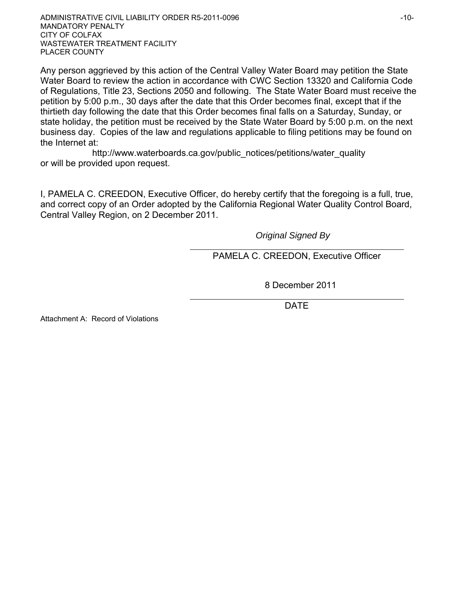ADMINISTRATIVE CIVIL LIABILITY ORDER R5-2011-0096 **ADMINISTRATIVE CIVIL LIABILITY ORDER R5-2011**-0096 MANDATORY PENALTY CITY OF COLFAX WASTEWATER TREATMENT FACILITY PLACER COUNTY

Any person aggrieved by this action of the Central Valley Water Board may petition the State Water Board to review the action in accordance with CWC Section 13320 and California Code of Regulations, Title 23, Sections 2050 and following. The State Water Board must receive the petition by 5:00 p.m., 30 days after the date that this Order becomes final, except that if the thirtieth day following the date that this Order becomes final falls on a Saturday, Sunday, or state holiday, the petition must be received by the State Water Board by 5:00 p.m. on the next business day. Copies of the law and regulations applicable to filing petitions may be found on the Internet at:

http://www.waterboards.ca.gov/public\_notices/petitions/water\_quality or will be provided upon request.

I, PAMELA C. CREEDON, Executive Officer, do hereby certify that the foregoing is a full, true, and correct copy of an Order adopted by the California Regional Water Quality Control Board, Central Valley Region, on 2 December 2011.

*Original Signed By* 

PAMELA C. CREEDON, Executive Officer

8 December 2011

DATE

Attachment A: Record of Violations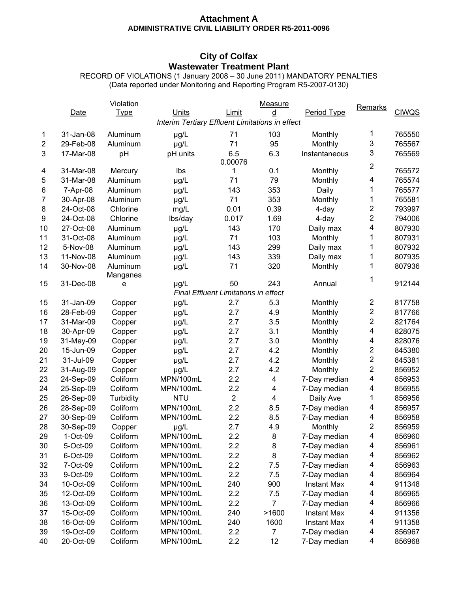### **Attachment A ADMINISTRATIVE CIVIL LIABILITY ORDER R5-2011-0096**

## **City of Colfax Wastewater Treatment Plant**

RECORD OF VIOLATIONS (1 January 2008 – 30 June 2011) MANDATORY PENALTIES (Data reported under Monitoring and Reporting Program R5-2007-0130)

|                |                                                 | Violation   |            |                                             | Measure |                    | <b>Remarks</b>          |              |
|----------------|-------------------------------------------------|-------------|------------|---------------------------------------------|---------|--------------------|-------------------------|--------------|
|                | Date                                            | <b>Type</b> | Units      | Limit                                       | ₫       | Period Type        |                         | <b>CIWQS</b> |
|                | Interim Tertiary Effluent Limitations in effect |             |            |                                             |         |                    |                         |              |
| 1              | 31-Jan-08                                       | Aluminum    | µg/L       | 71                                          | 103     | Monthly            | 1                       | 765550       |
| $\overline{2}$ | 29-Feb-08                                       | Aluminum    | µg/L       | 71                                          | 95      | Monthly            | 3                       | 765567       |
| 3              | 17-Mar-08                                       | pH          | pH units   | 6.5                                         | 6.3     | Instantaneous      | 3                       | 765569       |
|                |                                                 |             |            | 0.00076                                     |         |                    |                         |              |
| 4              | 31-Mar-08                                       | Mercury     | Ibs        | 1                                           | 0.1     | Monthly            | $\overline{\mathbf{c}}$ | 765572       |
| 5              | 31-Mar-08                                       | Aluminum    | µg/L       | 71                                          | 79      | Monthly            | 4                       | 765574       |
| 6              | 7-Apr-08                                        | Aluminum    | µg/L       | 143                                         | 353     | Daily              | 1                       | 765577       |
| $\overline{7}$ | 30-Apr-08                                       | Aluminum    | µg/L       | 71                                          | 353     | Monthly            | 1                       | 765581       |
| 8              | 24-Oct-08                                       | Chlorine    | mg/L       | 0.01                                        | 0.39    | 4-day              | 2                       | 793997       |
| 9              | 24-Oct-08                                       | Chlorine    | lbs/day    | 0.017                                       | 1.69    | 4-day              | $\overline{c}$          | 794006       |
| 10             | 27-Oct-08                                       | Aluminum    | µg/L       | 143                                         | 170     | Daily max          | 4                       | 807930       |
| 11             | 31-Oct-08                                       | Aluminum    | µg/L       | 71                                          | 103     | Monthly            | 1                       | 807931       |
| 12             | 5-Nov-08                                        | Aluminum    | µg/L       | 143                                         | 299     | Daily max          | 1                       | 807932       |
| 13             | 11-Nov-08                                       | Aluminum    | µg/L       | 143                                         | 339     | Daily max          | 1                       | 807935       |
| 14             | 30-Nov-08                                       | Aluminum    | µg/L       | 71                                          | 320     | Monthly            | 1                       | 807936       |
|                |                                                 | Manganes    |            |                                             |         |                    |                         |              |
| 15             | 31-Dec-08                                       | e           | µg/L       | 50                                          | 243     | Annual             | 1                       | 912144       |
|                |                                                 |             |            | <b>Final Effluent Limitations in effect</b> |         |                    |                         |              |
| 15             | 31-Jan-09                                       | Copper      | $\mu g/L$  | 2.7                                         | 5.3     | Monthly            | 2                       | 817758       |
| 16             | 28-Feb-09                                       | Copper      | µg/L       | 2.7                                         | 4.9     | Monthly            | $\overline{c}$          | 817766       |
| 17             | 31-Mar-09                                       | Copper      | µg/L       | 2.7                                         | 3.5     | Monthly            | $\overline{c}$          | 821764       |
| 18             | 30-Apr-09                                       | Copper      | µg/L       | 2.7                                         | 3.1     | Monthly            | 4                       | 828075       |
| 19             | 31-May-09                                       | Copper      | µg/L       | 2.7                                         | 3.0     | Monthly            | 4                       | 828076       |
| 20             | 15-Jun-09                                       | Copper      | µg/L       | 2.7                                         | 4.2     | Monthly            | $\overline{\mathbf{c}}$ | 845380       |
| 21             | 31-Jul-09                                       | Copper      | µg/L       | 2.7                                         | 4.2     | Monthly            | $\overline{c}$          | 845381       |
| 22             | 31-Aug-09                                       | Copper      | µg/L       | 2.7                                         | 4.2     | Monthly            | $\overline{\mathbf{c}}$ | 856952       |
| 23             | 24-Sep-09                                       | Coliform    | MPN/100mL  | 2.2                                         | 4       | 7-Day median       | $\overline{\mathbf{4}}$ | 856953       |
| 24             | 25-Sep-09                                       | Coliform    | MPN/100mL  | 2.2                                         | 4       | 7-Day median       | 4                       | 856955       |
| 25             | 26-Sep-09                                       | Turbidity   | <b>NTU</b> | $\overline{2}$                              | 4       | Daily Ave          | 1                       | 856956       |
| 26             | 28-Sep-09                                       | Coliform    | MPN/100mL  | 2.2                                         | 8.5     | 7-Day median       | 4                       | 856957       |
| 27             | 30-Sep-09                                       | Coliform    | MPN/100mL  | 2.2                                         | 8.5     | 7-Day median       | 4                       | 856958       |
| 28             | 30-Sep-09                                       | Copper      | $\mu g/L$  | 2.7                                         | 4.9     | Monthly            | $\overline{c}$          | 856959       |
| 29             | 1-Oct-09                                        | Coliform    | MPN/100mL  | 2.2                                         | 8       | 7-Day median       | 4                       | 856960       |
| 30             | 5-Oct-09                                        | Coliform    | MPN/100mL  | 2.2                                         | 8       | 7-Day median       | 4                       | 856961       |
| 31             | 6-Oct-09                                        | Coliform    | MPN/100mL  | 2.2                                         | 8       | 7-Day median       | 4                       | 856962       |
| 32             | 7-Oct-09                                        | Coliform    | MPN/100mL  | 2.2                                         | 7.5     | 7-Day median       | 4                       | 856963       |
| 33             | 9-Oct-09                                        | Coliform    | MPN/100mL  | 2.2                                         | 7.5     | 7-Day median       | 4                       | 856964       |
| 34             | 10-Oct-09                                       | Coliform    | MPN/100mL  | 240                                         | 900     | <b>Instant Max</b> | 4                       | 911348       |
| 35             | 12-Oct-09                                       | Coliform    | MPN/100mL  | 2.2                                         | 7.5     | 7-Day median       | 4                       | 856965       |
| 36             | 13-Oct-09                                       | Coliform    | MPN/100mL  | 2.2                                         | 7       | 7-Day median       | 4                       | 856966       |
| 37             | 15-Oct-09                                       | Coliform    | MPN/100mL  | 240                                         | >1600   | <b>Instant Max</b> | 4                       | 911356       |
| 38             | 16-Oct-09                                       | Coliform    | MPN/100mL  | 240                                         | 1600    | <b>Instant Max</b> | 4                       | 911358       |
| 39             | 19-Oct-09                                       | Coliform    | MPN/100mL  | 2.2                                         | 7       |                    | 4                       | 856967       |
| 40             |                                                 |             |            |                                             |         | 7-Day median       | 4                       |              |
|                | 20-Oct-09                                       | Coliform    | MPN/100mL  | 2.2                                         | 12      | 7-Day median       |                         | 856968       |